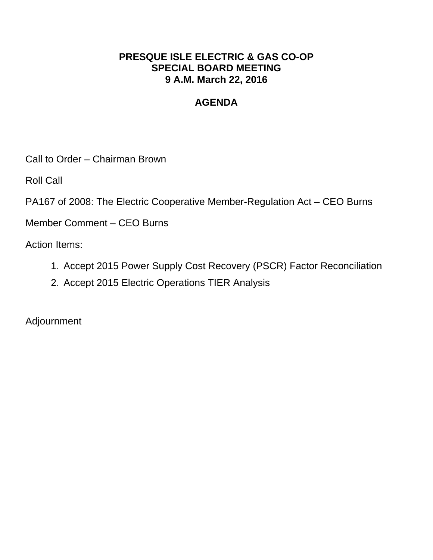## **PRESQUE ISLE ELECTRIC & GAS CO-OP SPECIAL BOARD MEETING 9 A.M. March 22, 2016**

# **AGENDA**

Call to Order – Chairman Brown

Roll Call

PA167 of 2008: The Electric Cooperative Member-Regulation Act – CEO Burns

Member Comment – CEO Burns

Action Items:

- 1. Accept 2015 Power Supply Cost Recovery (PSCR) Factor Reconciliation
- 2. Accept 2015 Electric Operations TIER Analysis

Adjournment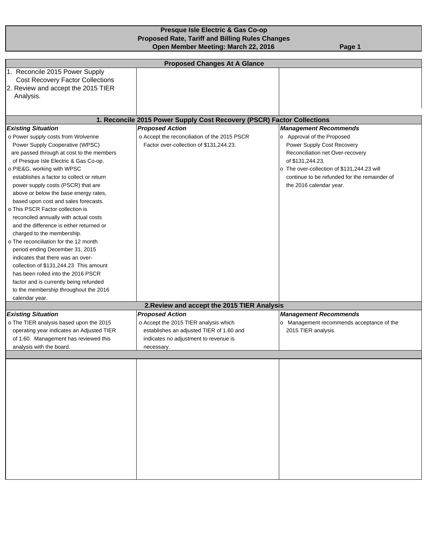#### **Presque Isle Electric & Gas Co-op Proposed Rate, Tariff and Billing Rules Changes Open Member Meeting: March 22, 2016** Page 1

|                                                                           | <b>Proposed Changes At A Glance</b>                                    |                                              |  |  |  |  |  |  |
|---------------------------------------------------------------------------|------------------------------------------------------------------------|----------------------------------------------|--|--|--|--|--|--|
| 1. Reconcile 2015 Power Supply<br><b>Cost Recovery Factor Collections</b> |                                                                        |                                              |  |  |  |  |  |  |
| 2. Review and accept the 2015 TIER                                        |                                                                        |                                              |  |  |  |  |  |  |
| Analysis.                                                                 |                                                                        |                                              |  |  |  |  |  |  |
|                                                                           |                                                                        |                                              |  |  |  |  |  |  |
|                                                                           |                                                                        |                                              |  |  |  |  |  |  |
|                                                                           | 1. Reconcile 2015 Power Supply Cost Recovery (PSCR) Factor Collections |                                              |  |  |  |  |  |  |
| <b>Existing Situation</b>                                                 | <b>Proposed Action</b>                                                 | <b>Management Recommends</b>                 |  |  |  |  |  |  |
| o Power supply costs from Wolverine                                       | o Accept the reconciliation of the 2015 PSCR                           | o Approval of the Proposed                   |  |  |  |  |  |  |
| Power Supply Cooperative (WPSC)                                           | Factor over-collection of \$131,244.23.                                | Power Supply Cost Recovery                   |  |  |  |  |  |  |
| are passed through at cost to the members                                 |                                                                        | Reconciliation net Over-recovery             |  |  |  |  |  |  |
| of Presque Isle Electric & Gas Co-op.                                     |                                                                        | of \$131,244.23.                             |  |  |  |  |  |  |
| o PIE&G, working with WPSC                                                |                                                                        | o The over-collection of \$131,244.23 will   |  |  |  |  |  |  |
| establishes a factor to collect or return                                 |                                                                        | continue to be refunded for the remainder of |  |  |  |  |  |  |
| power supply costs (PSCR) that are                                        |                                                                        | the 2016 calendar year.                      |  |  |  |  |  |  |
| above or below the base energy rates,                                     |                                                                        |                                              |  |  |  |  |  |  |
| based upon cost and sales forecasts.                                      |                                                                        |                                              |  |  |  |  |  |  |
| o This PSCR Factor collection is                                          |                                                                        |                                              |  |  |  |  |  |  |
| reconciled annually with actual costs                                     |                                                                        |                                              |  |  |  |  |  |  |
| and the difference is either returned or                                  |                                                                        |                                              |  |  |  |  |  |  |
| charged to the membership.                                                |                                                                        |                                              |  |  |  |  |  |  |
| o The reconciliation for the 12 month                                     |                                                                        |                                              |  |  |  |  |  |  |
| period ending December 31, 2015                                           |                                                                        |                                              |  |  |  |  |  |  |
| indicates that there was an over-                                         |                                                                        |                                              |  |  |  |  |  |  |
| collection of \$131,244.23 This amount                                    |                                                                        |                                              |  |  |  |  |  |  |
| has been rolled into the 2016 PSCR                                        |                                                                        |                                              |  |  |  |  |  |  |
| factor and is currently being refunded                                    |                                                                        |                                              |  |  |  |  |  |  |
| to the membership throughout the 2016                                     |                                                                        |                                              |  |  |  |  |  |  |
| calendar year.                                                            |                                                                        |                                              |  |  |  |  |  |  |
|                                                                           | 2. Review and accept the 2015 TIER Analysis                            |                                              |  |  |  |  |  |  |
| <b>Existing Situation</b>                                                 | <b>Proposed Action</b>                                                 | <b>Management Recommends</b>                 |  |  |  |  |  |  |
| o The TIER analysis based upon the 2015                                   | o Accept the 2015 TIER analysis which                                  | o Management recommends acceptance of the    |  |  |  |  |  |  |
| operating year indicates an Adjusted TIER                                 | establishes an adjusted TIER of 1.60 and                               | 2015 TIER analysis.                          |  |  |  |  |  |  |
| of 1.60. Management has reviewed this                                     | indicates no adjustment to revenue is                                  |                                              |  |  |  |  |  |  |
| analysis with the board.                                                  | necessary.                                                             |                                              |  |  |  |  |  |  |
|                                                                           |                                                                        |                                              |  |  |  |  |  |  |
|                                                                           |                                                                        |                                              |  |  |  |  |  |  |
|                                                                           |                                                                        |                                              |  |  |  |  |  |  |
|                                                                           |                                                                        |                                              |  |  |  |  |  |  |
|                                                                           |                                                                        |                                              |  |  |  |  |  |  |
|                                                                           |                                                                        |                                              |  |  |  |  |  |  |
|                                                                           |                                                                        |                                              |  |  |  |  |  |  |
|                                                                           |                                                                        |                                              |  |  |  |  |  |  |
|                                                                           |                                                                        |                                              |  |  |  |  |  |  |
|                                                                           |                                                                        |                                              |  |  |  |  |  |  |
|                                                                           |                                                                        |                                              |  |  |  |  |  |  |
|                                                                           |                                                                        |                                              |  |  |  |  |  |  |
|                                                                           |                                                                        |                                              |  |  |  |  |  |  |
|                                                                           |                                                                        |                                              |  |  |  |  |  |  |
|                                                                           |                                                                        |                                              |  |  |  |  |  |  |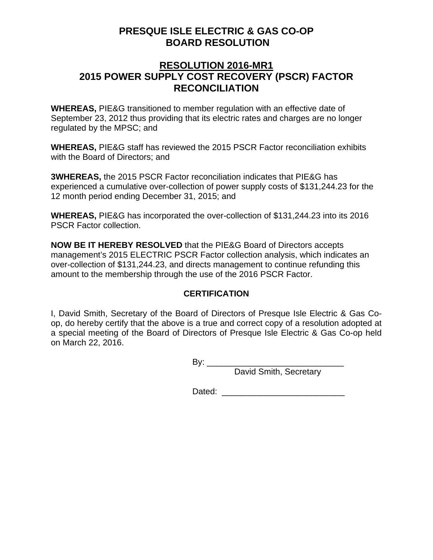## **PRESQUE ISLE ELECTRIC & GAS CO-OP BOARD RESOLUTION**

## **RESOLUTION 2016-MR1 2015 POWER SUPPLY COST RECOVERY (PSCR) FACTOR RECONCILIATION**

**WHEREAS,** PIE&G transitioned to member regulation with an effective date of September 23, 2012 thus providing that its electric rates and charges are no longer regulated by the MPSC; and

**WHEREAS,** PIE&G staff has reviewed the 2015 PSCR Factor reconciliation exhibits with the Board of Directors; and

**3WHEREAS,** the 2015 PSCR Factor reconciliation indicates that PIE&G has experienced a cumulative over-collection of power supply costs of \$131,244.23 for the 12 month period ending December 31, 2015; and

**WHEREAS,** PIE&G has incorporated the over-collection of \$131,244.23 into its 2016 PSCR Factor collection.

**NOW BE IT HEREBY RESOLVED** that the PIE&G Board of Directors accepts management's 2015 ELECTRIC PSCR Factor collection analysis, which indicates an over-collection of \$131,244.23, and directs management to continue refunding this amount to the membership through the use of the 2016 PSCR Factor.

## **CERTIFICATION**

I, David Smith, Secretary of the Board of Directors of Presque Isle Electric & Gas Coop, do hereby certify that the above is a true and correct copy of a resolution adopted at a special meeting of the Board of Directors of Presque Isle Electric & Gas Co-op held on March 22, 2016.

> By: \_\_\_\_\_\_\_\_\_\_\_\_\_\_\_\_\_\_\_\_\_\_\_\_\_\_\_\_\_ David Smith, Secretary

Dated: \_\_\_\_\_\_\_\_\_\_\_\_\_\_\_\_\_\_\_\_\_\_\_\_\_\_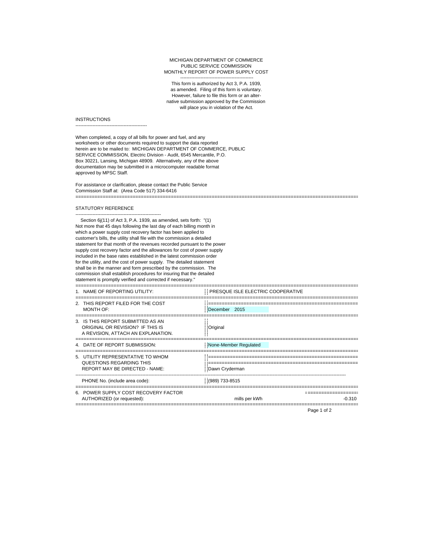#### ----------------------------------------------- MICHIGAN DEPARTMENT OF COMMERCE PUBLIC SERVICE COMMISSION MONTHLY REPORT OF POWER SUPPLY COST

This form is authorized by Act 3, P.A. 1939, as amended. Filing of this form is voluntary. However, failure to file this form or an alternative submission approved by the Commission will place you in violation of the Act.

#### **INSTRUCTIONS**

----------------------------------------------

When completed, a copy of all bills for power and fuel, and any worksheets or other documents required to support the data reported herein are to be mailed to: MICHIGAN DEPARTMENT OF COMMERCE, PUBLIC SERVICE COMMISSION, Electric Division - Audit, 6545 Mercantile, P.O. Box 30221, Lansing, Michigan 48909. Alternatively, any of the above documentation may be submitted in a microcomputer readable format approved by MPSC Staff.

For assistance or clarification, please contact the Public Service Commission Staff at: (Area Code 517) 334-6416 ========================================================================================================

#### STATUTORY REFERENCE

-------------------------------------------------------

Section 6j(11) of Act 3, P.A. 1939, as amended, sets forth: "(1) Not more that 45 days following the last day of each billing month in which a power supply cost recovery factor has been applied to customer's bills, the utility shall file with the commission a detailed statement for that month of the revenues recorded pursuant to the power supply cost recovery factor and the allowances for cost of power supply included in the base rates established in the latest commission order for the utility, and the cost of power supply. The detailed statement shall be in the manner and form prescribed by the commission. The commission shall establish procedures for insuring that the detailed statement is promptly verified and corrected if necessary."

| 1. NAME OF REPORTING UTILITY:                                                                               | PRESQUE ISLE ELECTRIC COOPERATIVE |
|-------------------------------------------------------------------------------------------------------------|-----------------------------------|
| 2. THIS REPORT FILED FOR THE COST<br>MONTH OF:                                                              | December 2015                     |
| 3. IS THIS REPORT SUBMITTED AS AN<br>ORIGINAL OR REVISION? IF THIS IS<br>A REVISION, ATTACH AN EXPLANATION. | Original                          |
| 4. DATE OF REPORT SUBMISSION:                                                                               | None-Member Requlated             |
| 5. UTILITY REPRESENTATIVE TO WHOM<br>QUESTIONS REGARDING THIS<br><b>REPORT MAY BE DIRECTED - NAME:</b>      | Dawn Cryderman                    |
| PHONE No. (include area code):                                                                              | (989) 733-8515                    |
| 6. POWER SUPPLY COST RECOVERY FACTOR<br>AUTHORIZED (or requested):                                          | mills per kWh<br>$-0.310$         |

Page 1 of 2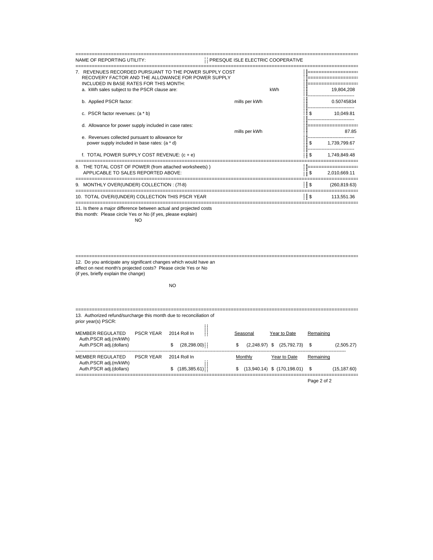| NAME OF REPORTING UTILITY:                                                                                                                             | PRESQUE ISLE ELECTRIC COOPERATIVE |                |               |
|--------------------------------------------------------------------------------------------------------------------------------------------------------|-----------------------------------|----------------|---------------|
| 7. REVENUES RECORDED PURSUANT TO THE POWER SUPPLY COST<br>RECOVERY FACTOR AND THE ALLOWANCE FOR POWER SUPPLY<br>INCLUDED IN BASE RATES FOR THIS MONTH: |                                   |                |               |
| a. kWh sales subject to the PSCR clause are:                                                                                                           | kWh                               |                | 19,804,208    |
| b. Applied PSCR factor:                                                                                                                                | mills per kWh                     |                | 0.50745834    |
| c. PSCR factor revenues: (a * b)                                                                                                                       |                                   | S              | 10,049.81     |
| d. Allowance for power supply included in case rates:                                                                                                  | mills per kWh                     |                | 8785          |
| e. Revenues collected pursuant to allowance for<br>power supply included in base rates: (a * d)                                                        |                                   | \$             | 1,739,799.67  |
| f. TOTAL POWER SUPPLY COST REVENUE: (c + e)                                                                                                            |                                   | !!\$           | 1.749.849.48  |
| 8. THE TOTAL COST OF POWER (from attached worksheets))                                                                                                 |                                   |                |               |
| APPLICABLE TO SALES REPORTED ABOVE:                                                                                                                    |                                   | . S            | 2,010,669.11  |
| 9. MONTHLY OVER(UNDER) COLLECTION : (7f-8)                                                                                                             |                                   | $\blacksquare$ | (260, 819.63) |
| 10. TOTAL OVER/(UNDER) COLLECTION THIS PSCR YEAR                                                                                                       |                                   | $\frac{1}{2}$  | 113.551.36    |

11. Is there a major difference between actual and projected costs this month: Please circle Yes or No (if yes, please explain) NO

======================================================================================================== 12. Do you anticipate any significant changes which would have an effect on next month's projected costs? Please circle Yes or No

(if yes, briefly explain the change)

#### NO

| 13. Authorized refund/surcharge this month due to reconciliation of<br>prior year(s) PSCR: |                  |                               |                                  |                                                    |                          |  |  |  |
|--------------------------------------------------------------------------------------------|------------------|-------------------------------|----------------------------------|----------------------------------------------------|--------------------------|--|--|--|
| MEMBER REGULATED<br>Auth.PSCR adj.(m/kWh)<br>Auth.PSCR adj.(dollars)                       | <b>PSCR YFAR</b> | 2014 Roll In<br>(28, 298.00)  | Seasonal<br>S<br>$(2.248.97)$ \$ | Year to Date<br>$(25,792.73)$ \$                   | Remaining<br>(2,505.27)  |  |  |  |
| MEMBER REGULATED<br>Auth.PSCR adj.(m/kWh)<br>Auth.PSCR adj.(dollars)                       | <b>PSCR YFAR</b> | 2014 Roll In<br>(185, 385.61) | Monthly<br>S                     | Year to Date<br>$(13,940.14)$ \$ $(170,198.01)$ \$ | Remaining<br>(15,187.60) |  |  |  |

Page 2 of 2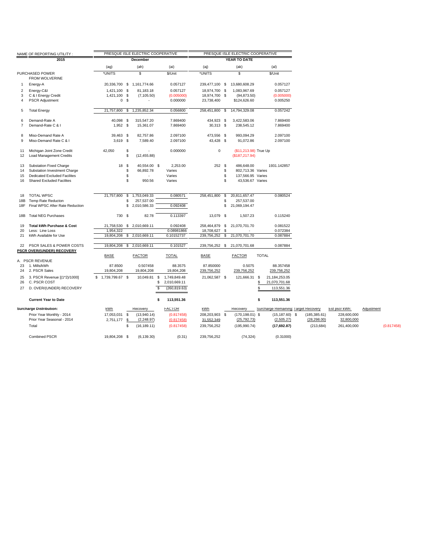|                | NAME OF REPORTING UTILITY :          |                       |                | PRESQUE ISLE ELECTRIC COOPERATIVE |    |               |                |      | PRESQUE ISLE ELECTRIC COOPERATIVE |              |                                      |               |               |            |            |
|----------------|--------------------------------------|-----------------------|----------------|-----------------------------------|----|---------------|----------------|------|-----------------------------------|--------------|--------------------------------------|---------------|---------------|------------|------------|
|                | 2015                                 |                       |                | <b>December</b>                   |    |               |                |      | YEAR TO DATE                      |              |                                      |               |               |            |            |
|                |                                      | (aq)                  |                | (ah)                              |    | (ai)          | (ai)           |      | (ak)                              |              | (al)                                 |               |               |            |            |
|                | PURCHASED POWER<br>FROM WOLVERINE    | *UNITS                |                | s.                                |    | \$/Unit       | *UNITS         |      | \$                                |              | \$/Unit                              |               |               |            |            |
| $\mathbf{1}$   | Energy-A                             |                       |                | 20,336,700 \$ 1,161,774.66        |    | 0.057127      |                |      | 239,477,100 \$ 13,680,608.29      |              | 0.057127                             |               |               |            |            |
| $\overline{2}$ | Energy-C&I                           | 1,421,100 \$          |                | 81,183.18                         |    | 0.057127      | 18,974,700 \$  |      | 1,083,967.69                      |              | 0.057127                             |               |               |            |            |
| 3              | C & I Energy Credit                  | 1,421,100             | - \$           | (7, 105.50)                       |    | (0.005000)    | 18,974,700     | - \$ | (94, 873.50)                      |              | (0.005000)                           |               |               |            |            |
| $\overline{4}$ | <b>PSCR Adjustment</b>               |                       | 0 <sup>5</sup> |                                   |    | 0.000000      | 23,738,400     |      | \$124,626.60                      |              | 0.005250                             |               |               |            |            |
| 5              | <b>Total Energy</b>                  | 21,757,800            | \$             | 1,235,852.34                      |    | 0.056800      | 258,451,800 \$ |      | 14,794,329.08                     |              | 0.057242                             |               |               |            |            |
| 6              | Demand-Rate A                        | 40,098 \$             |                | 315,547.20                        |    | 7.869400      | 434,923 \$     |      | 3,422,583.06                      |              | 7.869400                             |               |               |            |            |
| $\overline{7}$ | Demand-Rate C & I                    | $1,952$ \$            |                | 15,361.07                         |    | 7.869400      | 30,313 \$      |      | 238,545.12                        |              | 7.869400                             |               |               |            |            |
| 8              | Miso-Demand Rate A                   | 39,463 \$             |                | 82,757.86                         |    | 2.097100      | 473.556 \$     |      | 993.094.29                        |              | 2.097100                             |               |               |            |            |
| 9              | Miso-Demand Rate C & I               | $3,619$ \$            |                | 7,589.40                          |    | 2.097100      | 43,428 \$      |      | 91,072.86                         |              | 2.097100                             |               |               |            |            |
| 11             | Michigan Joint Zone Credit           | 42,050                | \$             |                                   |    | 0.000000      | $\mathbf 0$    |      | (\$11,213.98) True Up             |              |                                      |               |               |            |            |
| 12             | <b>Load Management Credits</b>       |                       | S.             | (12, 455.88)                      |    |               |                |      | (\$187,217.94)                    |              |                                      |               |               |            |            |
| 13             | <b>Substation Fixed Charge</b>       | 18 \$                 |                | 40,554.00 \$                      |    | 2.253.00      | 252S           |      | 486,648.00                        |              | 1931.142857                          |               |               |            |            |
| 14             | Substation Investment Charge         |                       | \$             | 66,892.78                         |    | Varies        |                | \$   | 802,713.36 Varies                 |              |                                      |               |               |            |            |
| 15             | <b>Dedicated Excluded Facilites</b>  |                       | \$             |                                   |    | Varies        |                | \$   | 137,566.95 Varies                 |              |                                      |               |               |            |            |
| 16             | <b>Shared Excluded Facilites</b>     |                       | \$             | 950.56                            |    | Varies        |                | \$   | 43,536.67 Varies                  |              |                                      |               |               |            |            |
| 18             | <b>TOTAL WPSC</b>                    | 21,757,800            | \$             | 1,753,049.33                      |    | 0.080571      | 258,451,800    | \$   | 20,811,657.47                     |              | 0.080524                             |               |               |            |            |
| 18B            | Temp Rate Reducton                   |                       | \$             | 257,537.00                        |    |               |                | \$   | 257,537.00                        |              |                                      |               |               |            |            |
| 18F            | Final WPSC After Rate Reduction      |                       |                | \$2,010,586.33                    |    | 0.092408      |                | \$   | 21,069,194.47                     |              |                                      |               |               |            |            |
| 18B            | <b>Total NEG Purchases</b>           | 730 \$                |                | 82.78                             |    | 0.113397      | 13,079 \$      |      | 1,507.23                          |              | 0.115240                             |               |               |            |            |
| 19             | <b>Total kWh Purchase &amp; Cost</b> |                       |                | 21,758,530 \$ 2,010,669.11        |    | 0.092408      |                |      | 258,464,879 \$ 21,070,701.70      |              | 0.081522                             |               |               |            |            |
| 20             | Less: Line Loss                      | 1,954,322             |                |                                   |    | 0.08981866    | 18,708,627     | \$   |                                   |              | 0.072384                             |               |               |            |            |
| 21             | kWh Available for Use                |                       |                | 19,804,208 \$ 2,010,669.11        |    | 0.10152737    | 239,756,252 \$ |      | 21,070,701.70                     |              | 0.087884                             |               |               |            |            |
| 22             | PSCR SALES & POWER COSTS             |                       |                | 19,804,208 \$ 2,010,669.11        |    | 0.101527      |                |      | 239,756,252 \$ 21,070,701.68      |              | 0.087884                             |               |               |            |            |
|                | PSCR OVER/(UNDER) RECOVERY           | <b>BASE</b>           |                | <b>FACTOR</b>                     |    | <b>TOTAL</b>  | <b>BASE</b>    |      | <b>FACTOR</b>                     | <b>TOTAL</b> |                                      |               |               |            |            |
|                | A. PSCR REVENUE                      |                       |                |                                   |    |               |                |      |                                   |              |                                      |               |               |            |            |
| 23             | 1. Mills/kWh                         | 87.8500               |                | 0.507458                          |    | 88.3575       | 87.850000      |      | 0.5075                            |              | 88.357458                            |               |               |            |            |
| 24             | 2. PSCR Sales                        | 19,804,208            |                | 19,804,208                        |    | 19,804,208    | 239,756,252    |      | 239,756,252                       |              | 239,756,252                          |               |               |            |            |
| 25             | 3. PSCR Revenue [(1*2)/1000]         | 1,739,799.67 \$<br>s. |                | 10,049.81 \$                      |    | 1,749,849.48  | 21,062,587 \$  |      | 121,666.31 \$                     |              | 21,184,253.05                        |               |               |            |            |
| 26             | C. PSCR COST                         |                       |                |                                   | \$ | 2,010,669.11  |                |      |                                   | \$           | 21,070,701.68                        |               |               |            |            |
| 27             | D. OVER/(UNDER) RECOVERY             |                       |                |                                   | \$ | (260, 819.63) |                |      |                                   | S            | 113,551.36                           |               |               |            |            |
|                | <b>Current Year to Date</b>          |                       |                |                                   | s. | 113,551.36    |                |      |                                   | \$           | 113,551.36                           |               |               |            |            |
|                | <b>Surcharge Distribution:</b>       | kWh                   |                | Recovery                          |    | <b>FACTOR</b> | kWh            |      | Recovery                          |              | Surcharge Remaining: Target Recovery |               | Est pscr kWh: | Adjustment |            |
|                | Prior Year Monthly - 2014            | 17,053,031 \$         |                | (13,940.14)                       |    | (0.817458)    | 208,203,903 \$ |      | $(170, 198.01)$ \$                |              | $(15, 187.60)$ \$                    | (185, 385.61) | 228,600,000   |            |            |
|                | Prior Year Seasonal - 2014           | 2,751,177             | \$             | (2, 248.97)                       |    | (0.817458)    | 31,552,349     |      | (25, 792, 73)                     |              | (2,505.27)                           | (28, 298.00)  | 32,800,000    |            |            |
|                | Total                                |                       | \$             | (16, 189.11)                      |    | (0.817458)    | 239,756,252    |      | (195, 990.74)                     |              | (17,692.87)                          | (213, 684)    | 261,400,000   |            | (0.817458) |
|                | <b>Combined PSCR</b>                 | 19,804,208 \$         |                | (6, 139.30)                       |    | (0.31)        | 239,756,252    |      | (74, 324)                         |              | (0.31000)                            |               |               |            |            |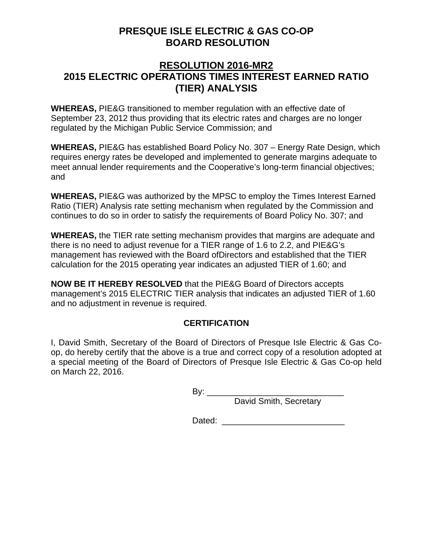## **PRESQUE ISLE ELECTRIC & GAS CO-OP BOARD RESOLUTION**

## **RESOLUTION 2016-MR2 2015 ELECTRIC OPERATIONS TIMES INTEREST EARNED RATIO (TIER) ANALYSIS**

**WHEREAS,** PIE&G transitioned to member regulation with an effective date of September 23, 2012 thus providing that its electric rates and charges are no longer regulated by the Michigan Public Service Commission; and

**WHEREAS,** PIE&G has established Board Policy No. 307 – Energy Rate Design, which requires energy rates be developed and implemented to generate margins adequate to meet annual lender requirements and the Cooperative's long-term financial objectives; and

**WHEREAS,** PIE&G was authorized by the MPSC to employ the Times Interest Earned Ratio (TIER) Analysis rate setting mechanism when regulated by the Commission and continues to do so in order to satisfy the requirements of Board Policy No. 307; and

**WHEREAS,** the TIER rate setting mechanism provides that margins are adequate and there is no need to adjust revenue for a TIER range of 1.6 to 2.2, and PIE&G's management has reviewed with the Board ofDirectors and established that the TIER calculation for the 2015 operating year indicates an adjusted TIER of 1.60; and

**NOW BE IT HEREBY RESOLVED** that the PIE&G Board of Directors accepts management's 2015 ELECTRIC TIER analysis that indicates an adjusted TIER of 1.60 and no adjustment in revenue is required.

## **CERTIFICATION**

I, David Smith, Secretary of the Board of Directors of Presque Isle Electric & Gas Coop, do hereby certify that the above is a true and correct copy of a resolution adopted at a special meeting of the Board of Directors of Presque Isle Electric & Gas Co-op held on March 22, 2016.

By: \_\_\_\_\_\_\_\_\_\_\_\_\_\_\_\_\_\_\_\_\_\_\_\_\_\_\_\_\_

David Smith, Secretary

Dated: \_\_\_\_\_\_\_\_\_\_\_\_\_\_\_\_\_\_\_\_\_\_\_\_\_\_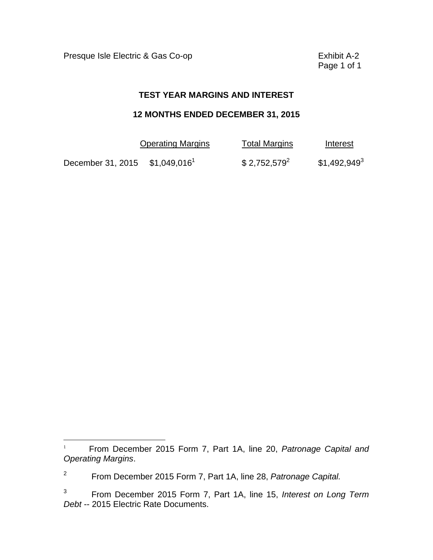Presque Isle Electric & Gas Co-op **Exhibit A-2** 

 $\overline{a}$ 

Page 1 of 1

#### **TEST YEAR MARGINS AND INTEREST**

#### **12 MONTHS ENDED DECEMBER 31, 2015**

|                   | <b>Operating Margins</b>  | <b>Total Margins</b> | Interest       |
|-------------------|---------------------------|----------------------|----------------|
| December 31, 2015 | $$1,049,016$ <sup>1</sup> | $$2,752,579^2$       | $$1,492,949^3$ |

<sup>1</sup>From December 2015 Form 7, Part 1A, line 20, *Patronage Capital and Operating Margins*.

<sup>2</sup> From December 2015 Form 7, Part 1A, line 28, *Patronage Capital.* 

 $\mathbf{3}$ 3 From December 2015 Form 7, Part 1A, line 15, *Interest on Long Term Debt* -- 2015 Electric Rate Documents.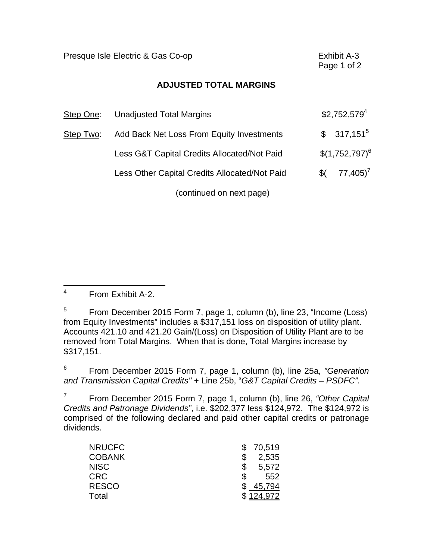|           | Presque Isle Electric & Gas Co-op             |                              |  |  |  |
|-----------|-----------------------------------------------|------------------------------|--|--|--|
|           | <b>ADJUSTED TOTAL MARGINS</b>                 |                              |  |  |  |
| Step One: | <b>Unadjusted Total Margins</b>               | \$2,752,579 <sup>4</sup>     |  |  |  |
| Step Two: | Add Back Net Loss From Equity Investments     | $317,151^5$<br>$\mathbb{S}$  |  |  |  |
|           | Less G&T Capital Credits Allocated/Not Paid   | $$(1,752,797)^6$             |  |  |  |
|           | Less Other Capital Credits Allocated/Not Paid | $77,405$ <sup>7</sup><br>\$( |  |  |  |
|           | (continued on next page)                      |                              |  |  |  |

 $\overline{4}$ 4 From Exhibit A-2.

5 5 From December 2015 Form 7, page 1, column (b), line 23, "Income (Loss) from Equity Investments" includes a \$317,151 loss on disposition of utility plant. Accounts 421.10 and 421.20 Gain/(Loss) on Disposition of Utility Plant are to be removed from Total Margins. When that is done, Total Margins increase by \$317,151.

6 6 From December 2015 Form 7, page 1, column (b), line 25a, *"Generation and Transmission Capital Credits"* + Line 25b, "*G&T Capital Credits – PSDFC".* 

 $\overline{7}$ 7 From December 2015 Form 7, page 1, column (b), line 26, *"Other Capital Credits and Patronage Dividends"*, i.e. \$202,377 less \$124,972. The \$124,972 is comprised of the following declared and paid other capital credits or patronage dividends.

| <b>NRUCFC</b> | 70,519 |
|---------------|--------|
| <b>COBANK</b> | 2,535  |
| <b>NISC</b>   | 5,572  |
| <b>CRC</b>    | 552    |
| <b>RESCO</b>  | 45,794 |
| Total         | '4.972 |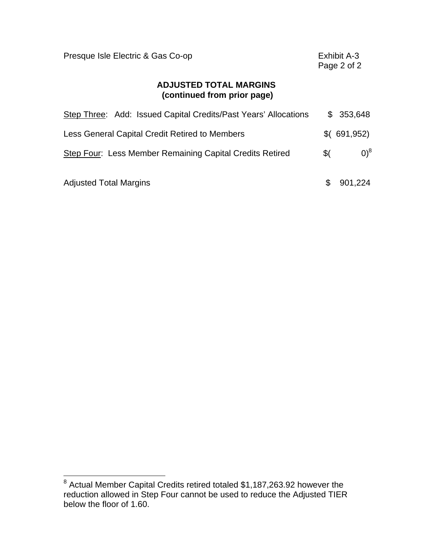| Presque Isle Electric & Gas Co-op                               | Exhibit A-3<br>Page 2 of 2 |             |  |
|-----------------------------------------------------------------|----------------------------|-------------|--|
| <b>ADJUSTED TOTAL MARGINS</b><br>(continued from prior page)    |                            |             |  |
| Step Three: Add: Issued Capital Credits/Past Years' Allocations | S.                         | 353,648     |  |
| Less General Capital Credit Retired to Members                  |                            | \$(691,952) |  |
| Step Four: Less Member Remaining Capital Credits Retired        | \$(                        | $0)^8$      |  |
| <b>Adjusted Total Margins</b>                                   | S                          | 901,224     |  |

 8 Actual Member Capital Credits retired totaled \$1,187,263.92 however the reduction allowed in Step Four cannot be used to reduce the Adjusted TIER below the floor of 1.60.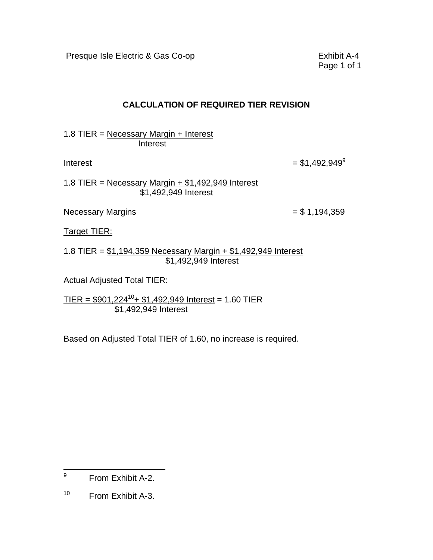Presque Isle Electric & Gas Co-op **Exhibit A-4** 

Page 1 of 1

## **CALCULATION OF REQUIRED TIER REVISION**

1.8 TIER = Necessary Margin + Interest **Interest** 

 $Interest = $1,492,949^9$ 

1.8 TIER = Necessary Margin  $+$  \$1,492,949 Interest \$1,492,949 Interest

Necessary Margins  $= $1,194,359$ 

Target TIER:

1.8 TIER = \$1,194,359 Necessary Margin + \$1,492,949 Interest \$1,492,949 Interest

Actual Adjusted Total TIER:

 $TIER = $901,224^{10} + $1,492,949$  Interest = 1.60 TIER \$1,492,949 Interest

Based on Adjusted Total TIER of 1.60, no increase is required.

 $\overline{a}$ 9 From Exhibit A-2.

 $10<sub>1</sub>$ From Exhibit A-3.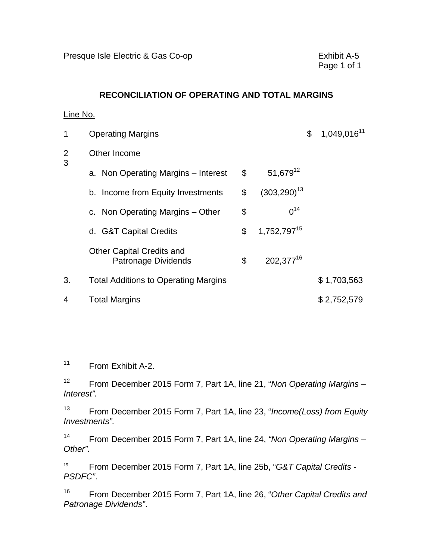#### **RECONCILIATION OF OPERATING AND TOTAL MARGINS**

#### Line No.

| 1                   | <b>Operating Margins</b>                                |                               | 1,049,016 <sup>11</sup><br>\$ |
|---------------------|---------------------------------------------------------|-------------------------------|-------------------------------|
| $\overline{2}$<br>3 | Other Income                                            |                               |                               |
|                     | a. Non Operating Margins - Interest                     | \$<br>$51,679^{12}$           |                               |
|                     | b. Income from Equity Investments                       | \$<br>$(303, 290)^{13}$       |                               |
|                     | c. Non Operating Margins – Other                        | \$<br>$0^{14}$                |                               |
|                     | d. G&T Capital Credits                                  | \$<br>1,752,797 <sup>15</sup> |                               |
|                     | <b>Other Capital Credits and</b><br>Patronage Dividends | \$<br>202,377 <sup>16</sup>   |                               |
| 3.                  | <b>Total Additions to Operating Margins</b>             |                               | \$1,703,563                   |
| 4                   | <b>Total Margins</b>                                    |                               | \$2,752,579                   |

 $\overline{a}$ From Exhibit A-2.

 $12<sup>°</sup>$ 12 From December 2015 Form 7, Part 1A, line 21, "*Non Operating Margins – Interest".* 

 $13$ 13 From December 2015 Form 7, Part 1A, line 23, "*Income(Loss) from Equity Investments".* 

 $14$ 14 From December 2015 Form 7, Part 1A, line 24, *"Non Operating Margins – Other".* 

15 <sup>15</sup>From December 2015 Form 7, Part 1A, line 25b, "*G&T Capital Credits - PSDFC"*.

16 16 From December 2015 Form 7, Part 1A, line 26, "*Other Capital Credits and Patronage Dividends"*.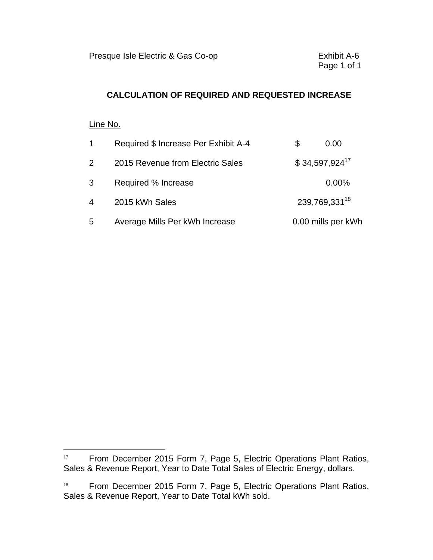## **CALCULATION OF REQUIRED AND REQUESTED INCREASE**

#### Line No.

 $\overline{a}$ 

| $\mathbf{1}$   | Required \$ Increase Per Exhibit A-4 | S | 0.00                      |
|----------------|--------------------------------------|---|---------------------------|
| $\overline{2}$ | 2015 Revenue from Electric Sales     |   | $$34,597,924^{17}$        |
| 3              | Required % Increase                  |   | 0.00%                     |
| 4              | 2015 kWh Sales                       |   | 239,769,331 <sup>18</sup> |
| 5              | Average Mills Per kWh Increase       |   | 0.00 mills per kWh        |

<sup>&</sup>lt;sup>17</sup> From December 2015 Form 7, Page 5, Electric Operations Plant Ratios, Sales & Revenue Report, Year to Date Total Sales of Electric Energy, dollars.

 $18\,$ From December 2015 Form 7, Page 5, Electric Operations Plant Ratios, Sales & Revenue Report, Year to Date Total kWh sold.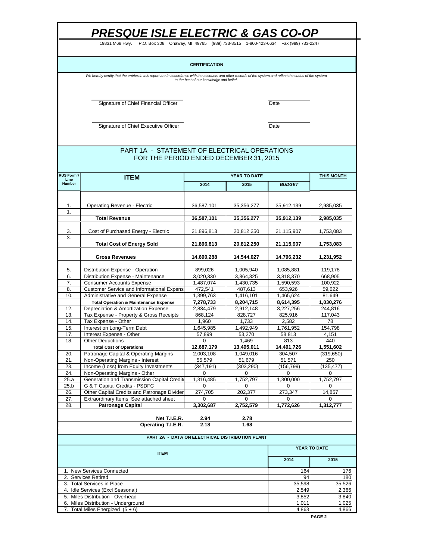19831 M68 Hwy. P.O. Box 308 Onaway, MI 49765 (989) 733-8515 1-800-423-6634 Fax (989) 733-2247

#### **CERTIFICATION**

We hereby certify that the entries in this report are in accordance with the accounts and other records of the system and reflect the status of the system<br>to the best of our knowledge and belief.

Signature of Chief Financial Officer **Date** 

Signature of Chief Executive Officer **Date** 

#### FOR THE PERIOD ENDED DECEMBER 31, 2015 PART 1A - STATEMENT OF ELECTRICAL OPERATIONS

| <b>RUS Form 7</b> | <b>ITEM</b>                                                            |                      | <b>THIS MONTH</b>                               |                        |                    |
|-------------------|------------------------------------------------------------------------|----------------------|-------------------------------------------------|------------------------|--------------------|
| Line<br>Number    |                                                                        | 2014                 | 2015                                            | <b>BUDGET</b>          |                    |
|                   |                                                                        |                      |                                                 |                        |                    |
|                   |                                                                        |                      |                                                 |                        |                    |
| 1.                | <b>Operating Revenue - Electric</b>                                    | 36,587,101           | 35,356,277                                      | 35,912,139             | 2,985,035          |
| 1.                |                                                                        |                      |                                                 |                        |                    |
|                   | <b>Total Revenue</b>                                                   | 36,587,101           | 35,356,277                                      | 35,912,139             | 2,985,035          |
| 3.                | Cost of Purchased Energy - Electric                                    | 21,896,813           | 20,812,250                                      | 21,115,907             | 1,753,083          |
| 3.                |                                                                        |                      |                                                 |                        |                    |
|                   | <b>Total Cost of Energy Sold</b>                                       | 21,896,813           | 20,812,250                                      | 21,115,907             | 1,753,083          |
|                   |                                                                        |                      |                                                 |                        |                    |
|                   | <b>Gross Revenues</b>                                                  | 14,690,288           | 14,544,027                                      | 14,796,232             | 1,231,952          |
|                   |                                                                        |                      |                                                 |                        |                    |
| 5.                | Distribution Expense - Operation                                       | 899,026<br>3.020.330 | 1,005,940                                       | 1,085,881              | 119,178            |
| 6.<br>7.          | Distribution Expense - Maintenance<br><b>Consumer Accounts Expense</b> | 1,487,074            | 3,864,325<br>1,430,735                          | 3,818,370<br>1,590,593 | 668,905<br>100,922 |
| 8.                | <b>Customer Service and Informational Expens</b>                       | 472,541              | 487.613                                         | 653,926                | 59.622             |
| 10.               | Administrative and General Expense                                     | 1,399,763            | 1,416,101                                       | 1,465,624              | 81,649             |
|                   | <b>Total Operation &amp; Maintenance Expense</b>                       | 7,278,733            | 8,204,715                                       | 8,614,395              | 1,030,276          |
| 12.               | Depreciation & Amortization Expense                                    | 2,834,479            | 2,912,148                                       | 3,227,256              | 244,816            |
| 13.               | Tax Expense - Property & Gross Receipts                                | 868,124              | 828,727                                         | 825,916                | 117,043            |
| 14.               | Tax Expense - Other                                                    | 1.960                | 1,733                                           | 2,582                  | 78                 |
| 15.               | Interest on Long-Term Debt                                             | 1,645,985            | 1,492,949                                       | 1,761,952              | 154,798            |
| 17.               | Interest Expense - Other                                               | 57,899               | 53.270                                          | 58,813                 | 4,151              |
| 18.               | <b>Other Deductions</b>                                                | $\Omega$             | 1,469                                           | 813                    | 440                |
|                   | <b>Total Cost of Operations</b>                                        | 12,687,179           | 13,495,011                                      | 14,491,726             | 1,551,602          |
| 20.               | Patronage Capital & Operating Margins                                  | 2.003.108            | 1,049,016                                       | 304,507                | (319, 650)         |
| 21.               | Non-Operating Margins - Interest                                       | 55,579               | 51,679                                          | 51,571                 | 250                |
| 23.               | Income (Loss) from Equity Investments                                  | (347, 191)           | (303, 290)                                      | (156, 799)             | (135, 477)         |
| 24.               | Non-Operating Margins - Other                                          | $\Omega$             | 0                                               | 0                      | $\Omega$           |
| 25.a              | Generation and Transmission Capital Credits                            | 1,316,485            | 1,752,797                                       | 1,300,000              | 1,752,797          |
| 25.b              | G & T Capital Credits - PSDFC                                          | $\Omega$             | $\Omega$                                        | $\Omega$               | 0                  |
| 26.               | Other Capital Credits and Patronage Divider                            | 274,705              | 202,377                                         | 273,347                | 14,857             |
| 27.               | Extraordinary Items See attached sheet                                 | 0                    | 0                                               | 0                      | $\Omega$           |
| 28.               | <b>Patronage Capital</b>                                               | 3,302,687            | 2,752,579                                       | 1,772,626              | 1,312,777          |
|                   |                                                                        |                      |                                                 |                        |                    |
|                   | Net T.I.E.R.                                                           | 2.94                 | 2.78                                            |                        |                    |
|                   | Operating T.I.E.R.                                                     | 2.18                 | 1.68                                            |                        |                    |
|                   |                                                                        |                      | PART 2A - DATA ON ELECTRICAL DISTRIBUTION PLANT |                        |                    |
|                   |                                                                        |                      |                                                 |                        |                    |
|                   | <b>ITEM</b>                                                            |                      | YEAR TO DATE                                    |                        |                    |
|                   |                                                                        |                      |                                                 | 2014                   | 2015               |
|                   |                                                                        |                      |                                                 |                        |                    |
|                   | 1. New Services Connected                                              | 164<br>94            | 176<br>180                                      |                        |                    |
|                   | 2. Services Retired<br>3. Total Services in Place                      |                      |                                                 | 35,598                 | 35,526             |
|                   | 4. Idle Services (Excl Seasonal)                                       |                      |                                                 | 2,549                  | 2,366              |
|                   | 5. Miles Distribution - Overhead                                       |                      |                                                 | 3,852                  | 3,840              |
|                   | 6. Miles Distribution - Underground                                    |                      |                                                 | 1,011                  | 1,025              |
| 7.                | Total Miles Energized $(5 + 6)$                                        |                      |                                                 | 4,863                  | 4,866              |
|                   |                                                                        |                      |                                                 |                        |                    |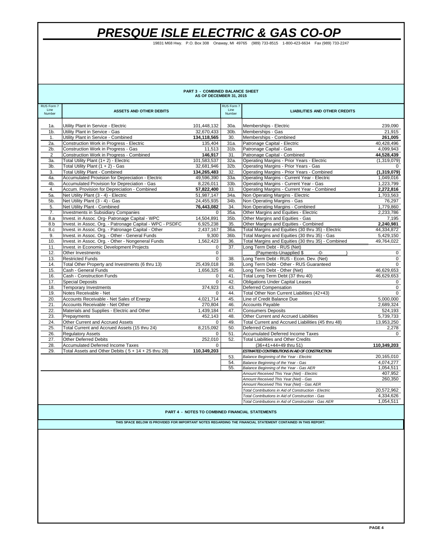19831 M68 Hwy. P.O. Box 308 Onaway, MI 49765 (989) 733-8515 1-800-423-6634 Fax (989) 733-2247

| PART 3 - COMBINED BALANCE SHEET<br>AS OF DECEMBER 31, 2015        |                                                                          |                         |                                                  |                                                                   |                        |  |  |
|-------------------------------------------------------------------|--------------------------------------------------------------------------|-------------------------|--------------------------------------------------|-------------------------------------------------------------------|------------------------|--|--|
| RUS Form 7<br>Line<br>Number                                      | <b>ASSETS AND OTHER DEBITS</b>                                           |                         | RUS Form 7<br>Line<br>Number                     | <b>LIABILITIES AND OTHER CREDITS</b>                              |                        |  |  |
| 1a.                                                               | Utility Plant in Service - Electric                                      | 101,448,132             | $30a$ .                                          | Memberships - Electric                                            | 239,090                |  |  |
| 1 <sub>b</sub>                                                    | Utility Plant in Service - Gas                                           | 32,670,433              | 30b.                                             | Memberships - Gas                                                 | 21,915                 |  |  |
| 1.                                                                | Utility Plant in Service - Combined                                      | 134,118,565             | 30.                                              | Memberships - Combined                                            | 261,005                |  |  |
| 2a.                                                               | Construction Work in Progress - Electric                                 | 135,404                 | 31a.                                             | Patronage Capital - Electric                                      | 40,428,496             |  |  |
| 2b.                                                               | Construction Work in Progress - Gas                                      | 11,513                  | 31b.                                             | Patronage Capital - Gas                                           | 4,099,943              |  |  |
| 2                                                                 | Construction Work in Progress - Combined                                 | 146.917                 | 31.                                              | Patronage Capital - Combined                                      | 44.528.439             |  |  |
| За.                                                               | Total Utility Plant (1+2) - Electric                                     | 101,583,537             | 32a.                                             | Operating Margins - Prior Years - Electric                        | (1,319,079)            |  |  |
| 3b.                                                               | Total Utility Plant $(1 + 2)$ - Gas                                      | 32.681.946              | 32b.                                             | Operating Margins - Prior Years - Gas                             | 0                      |  |  |
| 3.                                                                | <b>Total Utility Plant - Combined</b>                                    | 134,265,483             | 32.                                              | Operating Margins - Prior Years - Combined                        | (1,319,079)            |  |  |
| 4a.                                                               | Accumulated Provision for Depreciation - Electric                        | 49,596,390              | 33a.                                             | Operating Margins - Current Year - Electric                       | 1,049,016              |  |  |
| 4b.                                                               | Accumulated Provision for Depreciation - Gas                             | 8,226,011               | 33b.                                             | Operating Margins - Current Year - Gas                            | 1,223,799              |  |  |
| 4.                                                                | Accum. Provision for Depreciation - Combined                             | 57,822,400              | 33.                                              | Operating Margins - Current Year - Combined                       | 2,272,816              |  |  |
| 5a.                                                               | Net Utility Plant (3 - 4) - Electric                                     | 51,987,147              | 34a.                                             | Non Operating Margins - Electric                                  | 1,703,563              |  |  |
| 5b.                                                               | Net Utility Plant (3 - 4) - Gas                                          | 24,455,935              | 34b.                                             | Non Operating Margins - Gas                                       | 76,297                 |  |  |
| 5.                                                                | Net Utility Plant - Combined                                             | 76,443,082              | 34.                                              | Non Operating Margins - Combined                                  | 1,779,860              |  |  |
| 7.                                                                | <b>Investments in Subsidiary Companies</b>                               | 0                       | 35a.                                             | Other Margins and Equities - Electric                             | 2,233,786              |  |  |
| 8.a                                                               | Invest. in Assoc. Org- Patronage Capital - WPC                           | 14.504.891              | 35b.                                             | Other Margins and Equities - Gas                                  | 7.195                  |  |  |
| 8.b                                                               | Invest. in Assoc. Org. - Patronage Capital - WPC - PSDFC                 | 6,925,238               | 35.                                              | Other Margins and Equities - Combined                             | 2,240,981              |  |  |
| 8.c                                                               | Invest. in Assoc. Org. - Patronage Capital - Other                       | 2,437,167               | 36a.                                             | Total Margins and Equities (30 thru 35) - Electric                | 44,334,872             |  |  |
| 9.                                                                | Invest. in Assoc. Org. - Other - General Funds                           | 9,300                   | 36b.                                             | Total Margins and Equities (30 thru 35) - Gas                     | 5.429.150              |  |  |
| 10.                                                               | Invest. in Assoc. Org. - Other - Nongeneral Funds                        | 1,562,423               | 36.                                              | Total Margins and Equities (30 thru 35) - Combined                | 49,764,022             |  |  |
| 11.                                                               | Invest. in Economic Development Projects                                 | $\mathbf 0$             | 37.                                              | Long Term Debt - RUS (Net)                                        |                        |  |  |
| 12.                                                               | Other Investments                                                        | $\mathbf 0$             |                                                  | (Payments-Unapplied \$<br>$-0-$                                   | $\mathbf{0}$           |  |  |
| 13.                                                               | <b>Restricted Funds</b>                                                  | $\Omega$                | 38.                                              | Long Term Debt - RUS - Econ. Dev. (Net)                           | $\mathbf{0}$           |  |  |
| 14.<br>15.                                                        | Total Other Property and Investments (6 thru 13)<br>Cash - General Funds | 25,439,018<br>1,656,325 | 39.                                              | Long Term Debt - Other - RUS Guaranteed                           | $\Omega$<br>46,629,653 |  |  |
| 16.                                                               | Cash - Construction Funds                                                | 0                       | 40.<br>41.                                       | Long Term Debt - Other (Net)<br>Total Long Term Debt (37 thru 40) | 46,629,653             |  |  |
| 17.                                                               | <b>Special Deposits</b>                                                  | $\mathsf 0$             | 42.                                              | <b>Obligations Under Capital Leases</b>                           |                        |  |  |
| 18.                                                               | <b>Temporary Investments</b>                                             | 374.923                 | 43.                                              | Deferred Compensation                                             | 0<br>$\mathbf 0$       |  |  |
| 19.                                                               | Notes Receivable - Net                                                   | $\mathbf{0}$            | 44.                                              | Total Other Non Current Liabilities (42+43)                       | $\mathbf 0$            |  |  |
| 20.                                                               | Accounts Receivable - Net Sales of Energy                                | 4,021,714               | 45.                                              | Line of Credit Balance Due                                        | 5,000,000              |  |  |
| 21.                                                               | Accounts Receivable - Net Other                                          | 270,804                 | 46.                                              | Accounts Payable                                                  | 2,689,324              |  |  |
| 22.                                                               | Materials and Supplies - Electric and Other                              | 1,439,184               | 47.                                              | <b>Consumers Deposits</b>                                         | 524,193                |  |  |
| 23.                                                               | Prepayments                                                              | 452,143                 | 48.                                              | Other Current and Accrued Liabilities                             | 5,739,733              |  |  |
| 24.                                                               | Other Current and Accrued Assets                                         | 0                       | 49.                                              | Total Current and Accrued Liabilities (45 thru 48)                | 13,953,250             |  |  |
| 25.                                                               | Total Current and Accrued Assets (15 thru 24)                            | 8,215,092               | 50.                                              | <b>Deferred Credits</b>                                           | 2,278                  |  |  |
| 26.                                                               | <b>Regulatory Assets</b>                                                 | $\Omega$                | 51.                                              | <b>Accumulated Deferred Income Taxes</b>                          | 0                      |  |  |
| 27.                                                               | <b>Other Deferred Debits</b>                                             | 252,010                 | 52.                                              | <b>Total Liabilities and Other Credits</b>                        |                        |  |  |
| 28.                                                               | <b>Accumulated Deferred Income Taxes</b>                                 | $\Omega$                |                                                  | (36+41+44+49 thru 51)                                             | 110,349,203            |  |  |
| 29.                                                               | Total Assets and Other Debits ( $5 + 14 + 25$ thru 28)                   | 110,349,203             |                                                  | ESTIMATED CONTRIBUTIONS IN AID OF CONSTRUCTION                    |                        |  |  |
|                                                                   |                                                                          |                         | 53.                                              | Balance Beginning of the Year - Electric                          | 20,165,010             |  |  |
|                                                                   |                                                                          |                         | 54.                                              | Balance Beginning of the Year - Gas                               | 4,074,277              |  |  |
|                                                                   |                                                                          |                         | 55.                                              | Balance Beginning of the Year - Gas AER                           | 1,054,511              |  |  |
|                                                                   |                                                                          |                         |                                                  | Amount Received This Year (Net) - Electric                        | 407,952                |  |  |
|                                                                   |                                                                          |                         |                                                  | Amount Received This Year (Net) - Gas                             | 260,350                |  |  |
|                                                                   |                                                                          |                         |                                                  | Amount Received This Year (Net) - Gas AER                         |                        |  |  |
|                                                                   |                                                                          |                         |                                                  | Total Contributions in Aid of Construction - Electric             | 20,572,962             |  |  |
|                                                                   |                                                                          |                         | Total Contributions in Aid of Construction - Gas | 4,334,626                                                         |                        |  |  |
| 1,054,511<br>Total Contributions in Aid of Construction - Gas AER |                                                                          |                         |                                                  |                                                                   |                        |  |  |
| <b>PART 4 - NOTES TO COMBINED FINANCIAL STATEMENTS</b>            |                                                                          |                         |                                                  |                                                                   |                        |  |  |

 **THIS SPACE BELOW IS PROVIDED FOR IMPORTANT NOTES REGARDING THE FINANCIAL STATEMENT CONTAINED IN THIS REPORT.**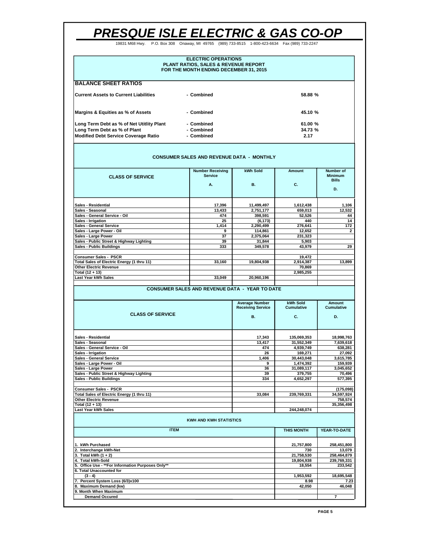19831 M68 Hwy. P.O. Box 308 Onaway, MI 49765 (989) 733-8515 1-800-423-6634 Fax (989) 733-2247

| <b>ELECTRIC OPERATIONS</b><br><b>PLANT RATIOS, SALES &amp; REVENUE REPORT</b><br>FOR THE MONTH ENDING DECEMBER 31, 2015 |            |         |  |  |
|-------------------------------------------------------------------------------------------------------------------------|------------|---------|--|--|
| <b>BALANCE SHEET RATIOS</b>                                                                                             |            |         |  |  |
| Current Assets to Current Liabilities                                                                                   | - Combined | 58.88 % |  |  |
| Margins & Equities as % of Assets                                                                                       | - Combined | 45.10 % |  |  |
| Long Term Debt as % of Net Utitlity Plant                                                                               | - Combined | 61.00 % |  |  |
| Long Term Debt as % of Plant                                                                                            | - Combined | 34.73 % |  |  |
| <b>Modified Debt Service Coverage Ratio</b>                                                                             | - Combined | 2.17    |  |  |

#### **CONSUMER SALES AND REVENUE DATA - MONTHLY**

| <b>CLASS OF SERVICE</b>                           | <b>Number Receiving</b><br><b>Service</b> | kWh Sold   | Amount    | Number of<br><b>Minimum</b><br><b>Bills</b> |  |
|---------------------------------------------------|-------------------------------------------|------------|-----------|---------------------------------------------|--|
|                                                   | Α.                                        | <b>B.</b>  | C.        | D.                                          |  |
| <b>Sales - Residential</b>                        | 17.396                                    | 11,499,497 | 1,612,438 | 1,106                                       |  |
| Sales - Seasonal                                  | 13,433                                    | 2,751,177  | 659,013   | 12,532                                      |  |
| Sales - General Service - Oil                     | 474                                       | 398,591    | 52,526    | 44                                          |  |
| Sales - Irrigation                                | 25                                        | (6, 173)   | 440       | 14                                          |  |
| <b>Sales - General Service</b>                    | 1,414                                     | 2,290,499  | 276,641   | 172                                         |  |
| Sales - Large Power - Oil                         | 9                                         | 114,861    | 12,652    | $\overline{2}$                              |  |
| Sales - Large Power                               | 37                                        | 2,375,064  | 231,323   |                                             |  |
| Sales - Public Street & Highway Lighting          | 39                                        | 31.844     | 5,903     |                                             |  |
| <b>Sales - Public Buildings</b>                   | 333                                       | 349,578    | 43.979    | 29                                          |  |
| <b>Consumer Sales - PSCR</b>                      |                                           |            | 19,472    |                                             |  |
| <b>Total Sales of Electric Energy (1 thru 11)</b> | 33,160                                    | 19,804,938 | 2,914,387 | 13,899                                      |  |
| <b>Other Electric Revenue</b>                     |                                           |            | 70,869    |                                             |  |
| Total (12 + 13)                                   |                                           |            | 2,985,255 |                                             |  |
| Last Year kWh Sales                               | 33,049                                    | 20,960,196 |           |                                             |  |
|                                                   |                                           |            |           |                                             |  |

#### **CONSUMER SALES AND REVENUE DATA - YEAR TO DATE**

| <b>CLASS OF SERVICE</b>                    | <b>Average Number</b><br><b>Receiving Service</b> | kWh Sold<br><b>Cumulative</b> | Amount<br><b>Cumulative</b> |  |  |
|--------------------------------------------|---------------------------------------------------|-------------------------------|-----------------------------|--|--|
|                                            | <b>B.</b>                                         | C.                            | D.                          |  |  |
| <b>Sales - Residential</b>                 | 17,343                                            | 135,069,353                   | 18,998,763                  |  |  |
| Sales - Seasonal                           | 13.417                                            | 31,552,349                    | 7,639,618                   |  |  |
| Sales - General Service - Oil              | 474                                               | 4,939,749                     | 638,281                     |  |  |
| Sales - Irrigation                         | 26                                                | 169.271                       | 27.092                      |  |  |
| <b>Sales - General Service</b>             | 1.406                                             | 30,443,048                    | 3,615,785                   |  |  |
| Sales - Large Power - Oil                  | 9                                                 | 1,474,392                     | 159,939                     |  |  |
| Sales - Large Power                        | 36                                                | 31,089,117                    | 3,045,652                   |  |  |
| Sales - Public Street & Highway Lighting   | 39                                                | 379.755                       | 70,496                      |  |  |
| Sales - Public Buildings                   | 334                                               | 4.652.297                     | 577,395                     |  |  |
| <b>Consumer Sales - PSCR</b>               |                                                   |                               | (175,098)                   |  |  |
| Total Sales of Electric Energy (1 thru 11) | 33.084                                            | 239,769,331                   | 34,597,924                  |  |  |
| <b>Other Electric Revenue</b>              |                                                   |                               | 758,574                     |  |  |
| Total (12 + 13)                            |                                                   |                               | 35,356,498                  |  |  |
| Last Year kWh Sales                        |                                                   | 244.248.074                   |                             |  |  |
| <b>KWH AND KWH STATISTICS</b>              |                                                   |                               |                             |  |  |
| <b>ITEM</b>                                | <b>THIS MONTH</b>                                 | YEAR-TO-DATE                  |                             |  |  |
| 1. kWh Purchased                           | 21,757,800                                        | 258,451,800                   |                             |  |  |
| 2. Interchange kWh-Net                     | 730                                               | 13,079                        |                             |  |  |
| 3. Total kWh (1 + 2)                       | 21.758.530                                        | 258.464.879                   |                             |  |  |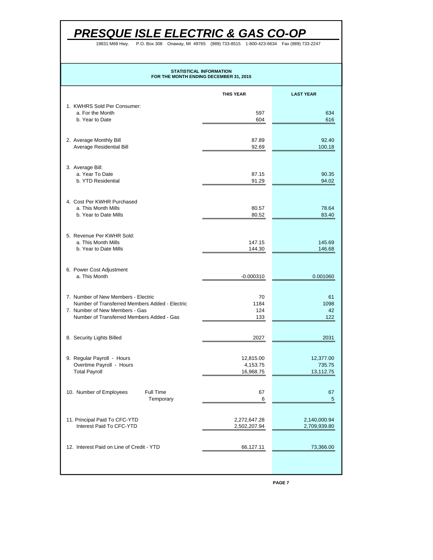P.O. Box 308 Onaway, MI 4976 19831 M68 Hwy. P.O. Box 308 Onaway, MI 49765 (989) 733-8515 1-800-423-6634 Fax (989) 733-2247

## **STATISTICAL INFORMATION FOR THE MONTH ENDING DECEMBER 31, 2015**

|                                                                                       | <b>THIS YEAR</b>             | <b>LAST YEAR</b>             |
|---------------------------------------------------------------------------------------|------------------------------|------------------------------|
| 1. KWHRS Sold Per Consumer:<br>a. For the Month<br>b. Year to Date                    | 597<br>604                   | 634<br>616                   |
|                                                                                       |                              |                              |
| 2. Average Monthly Bill<br>Average Residential Bill                                   | 87.89<br>92.69               | 92.40<br>100.18              |
| 3. Average Bill:<br>a. Year To Date                                                   | 87.15                        | 90.35                        |
| b. YTD Residential                                                                    | 91.29                        | 94.02                        |
| 4. Cost Per KWHR Purchased<br>a. This Month Mills<br>b. Year to Date Mills            | 80.57<br>80.52               | 78.64<br>83.40               |
| 5. Revenue Per KWHR Sold:                                                             |                              |                              |
| a. This Month Mills<br>b. Year to Date Mills                                          | 147.15<br>144.30             | 145.69<br>146.68             |
| 6. Power Cost Adjustment<br>a. This Month                                             | $-0.000310$                  | 0.001060                     |
| 7. Number of New Members - Electric<br>Number of Transferred Members Added - Electric | 70<br>1184                   | 61<br>1098                   |
| 7. Number of New Members - Gas<br>Number of Transferred Members Added - Gas           | 124<br>133                   | 42<br>122                    |
| 8. Security Lights Billed                                                             | 2027                         | 2031                         |
| 9. Regular Payroll - Hours<br>Overtime Payroll - Hours                                | 12,815.00<br>4,153.75        | 12,377.00<br>735.75          |
| <b>Total Payroll</b>                                                                  | 16,968.75                    | 13,112.75                    |
| 10. Number of Employees<br>Full Time<br>Temporary                                     | 67<br>ี                      | 67<br>5                      |
| 11. Principal Paid To CFC-YTD<br>Interest Paid To CFC-YTD                             | 2,272,647.28<br>2,502,207.94 | 2,140,000.94<br>2,709,939.80 |
| 12. Interest Paid on Line of Credit - YTD                                             | 66,127.11                    | 73,366.00                    |
|                                                                                       |                              |                              |

**PAGE 7**